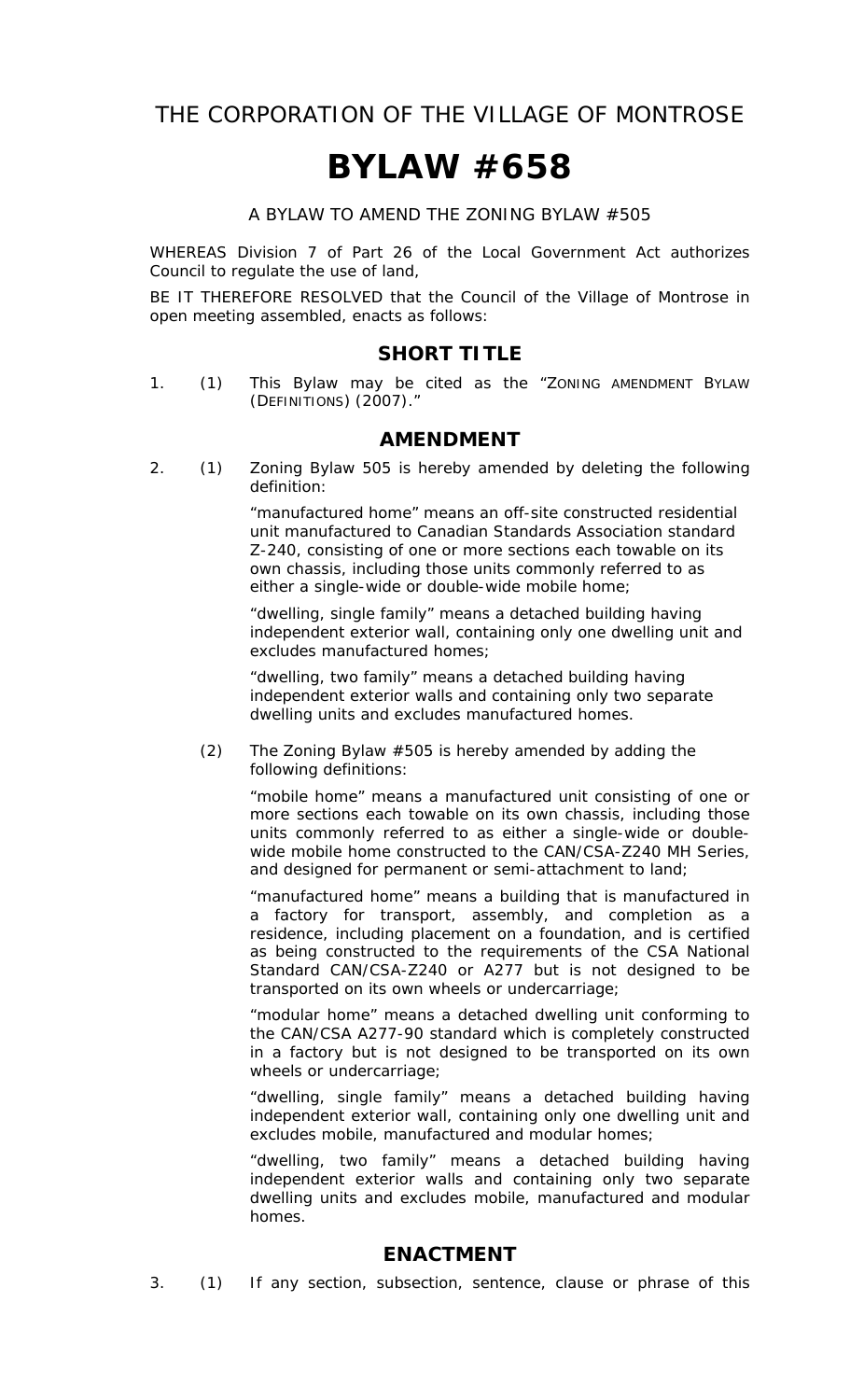THE CORPORATION OF THE VILLAGE OF MONTROSE

## **BYLAW #658**

A BYLAW TO AMEND THE ZONING BYLAW #505

WHEREAS Division 7 of Part 26 of the Local Government Act authorizes Council to regulate the use of land,

BE IT THEREFORE RESOLVED that the Council of the Village of Montrose in open meeting assembled, enacts as follows:

## **SHORT TITLE**

1. (1) This Bylaw may be cited as the "ZONING AMENDMENT BYLAW (DEFINITIONS) (2007)."

## **AMENDMENT**

2. (1) Zoning Bylaw 505 is hereby amended by deleting the following definition:

> "manufactured home" means an off-site constructed residential unit manufactured to Canadian Standards Association standard Z-240, consisting of one or more sections each towable on its own chassis, including those units commonly referred to as either a single-wide or double-wide mobile home;

> "dwelling, single family" means a detached building having independent exterior wall, containing only one dwelling unit and excludes manufactured homes;

"dwelling, two family" means a detached building having independent exterior walls and containing only two separate dwelling units and excludes manufactured homes.

(2) The Zoning Bylaw #505 is hereby amended by adding the following definitions:

> "mobile home" means a manufactured unit consisting of one or more sections each towable on its own chassis, including those units commonly referred to as either a single-wide or doublewide mobile home constructed to the CAN/CSA-Z240 MH Series, and designed for permanent or semi-attachment to land;

> "manufactured home" means a building that is manufactured in a factory for transport, assembly, and completion as a residence, including placement on a foundation, and is certified as being constructed to the requirements of the CSA National Standard CAN/CSA-Z240 or A277 but is not designed to be transported on its own wheels or undercarriage;

> "modular home" means a detached dwelling unit conforming to the CAN/CSA A277-90 standard which is completely constructed in a factory but is not designed to be transported on its own wheels or undercarriage;

> "dwelling, single family" means a detached building having independent exterior wall, containing only one dwelling unit and excludes mobile, manufactured and modular homes;

> "dwelling, two family" means a detached building having independent exterior walls and containing only two separate dwelling units and excludes mobile, manufactured and modular homes.

## **ENACTMENT**

3. (1) If any section, subsection, sentence, clause or phrase of this